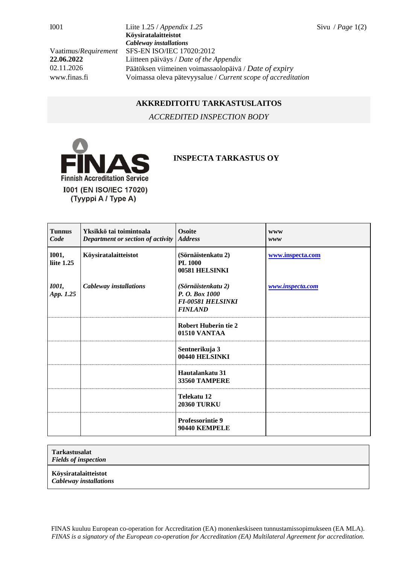I001 Liite 1.25 / *Appendix 1.25* Sivu / *Page* 1(2) **Köysiratalaitteistot** *Cableway installations* Vaatimus/*Requirement* SFS-EN ISO/IEC 17020:2012 **22.06.2022** Liitteen päiväys / *Date of the Appendix* 02.11.2026 Päätöksen viimeinen voimassaolopäivä / *Date of expiry* www.finas.fi Voimassa oleva pätevyysalue / *Current scope of accreditation*

## **AKKREDITOITU TARKASTUSLAITOS**

*ACCREDITED INSPECTION BODY*



## **INSPECTA TARKASTUS OY**

| <b>Tunnus</b><br>Code             | Yksikkö tai toimintoala<br>Department or section of activity | <b>Osoite</b><br><b>Address</b>                                                    | <b>WWW</b><br>www |
|-----------------------------------|--------------------------------------------------------------|------------------------------------------------------------------------------------|-------------------|
| <b>I001,</b><br>liite 1.25        | Köysiratalaitteistot                                         | (Sörnäistenkatu 2)<br><b>PL 1000</b><br>00581 HELSINKI                             | www.inspecta.com  |
| <i><b>I001</b></i> ,<br>App. 1.25 | Cableway installations                                       | (Sörnäistenkatu 2)<br>P. O. Box 1000<br><b>FI-00581 HELSINKI</b><br><b>FINLAND</b> | www.inspecta.com  |
|                                   |                                                              | <b>Robert Huberin tie 2</b><br>01510 VANTAA                                        |                   |
|                                   |                                                              | Sentnerikuja 3<br>00440 HELSINKI                                                   |                   |
|                                   |                                                              | Hautalankatu 31<br><b>33560 TAMPERE</b>                                            |                   |
|                                   |                                                              | Telekatu 12<br><b>20360 TURKU</b>                                                  |                   |
|                                   |                                                              | <b>Professorintie 9</b><br>90440 KEMPELE                                           |                   |

## **Tarkastusalat**

*Fields of inspection*

**Köysiratalaitteistot** 

*Cableway installations*